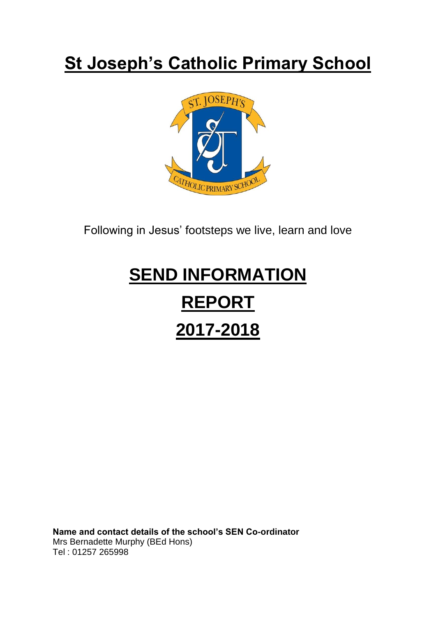# **St Joseph's Catholic Primary School**



Following in Jesus' footsteps we live, learn and love

# **SEND INFORMATION REPORT 2017-2018**

**Name and contact details of the school's SEN Co-ordinator** Mrs Bernadette Murphy (BEd Hons) Tel : 01257 265998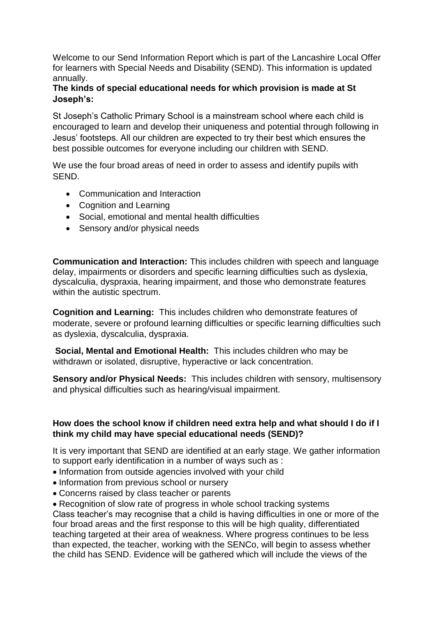Welcome to our Send Information Report which is part of the Lancashire Local Offer for learners with Special Needs and Disability (SEND). This information is updated annually.

# **The kinds of special educational needs for which provision is made at St Joseph's:**

St Joseph's Catholic Primary School is a mainstream school where each child is encouraged to learn and develop their uniqueness and potential through following in Jesus' footsteps. All our children are expected to try their best which ensures the best possible outcomes for everyone including our children with SEND.

We use the four broad areas of need in order to assess and identify pupils with SEND.

- Communication and Interaction
- Cognition and Learning
- Social, emotional and mental health difficulties
- Sensory and/or physical needs

**Communication and Interaction:** This includes children with speech and language delay, impairments or disorders and specific learning difficulties such as dyslexia, dyscalculia, dyspraxia, hearing impairment, and those who demonstrate features within the autistic spectrum.

**Cognition and Learning:** This includes children who demonstrate features of moderate, severe or profound learning difficulties or specific learning difficulties such as dyslexia, dyscalculia, dyspraxia.

**Social, Mental and Emotional Health:** This includes children who may be withdrawn or isolated, disruptive, hyperactive or lack concentration.

**Sensory and/or Physical Needs:** This includes children with sensory, multisensory and physical difficulties such as hearing/visual impairment.

# **How does the school know if children need extra help and what should I do if I think my child may have special educational needs (SEND)?**

It is very important that SEND are identified at an early stage. We gather information to support early identification in a number of ways such as :

- Information from outside agencies involved with your child
- Information from previous school or nursery
- Concerns raised by class teacher or parents

• Recognition of slow rate of progress in whole school tracking systems Class teacher's may recognise that a child is having difficulties in one or more of the four broad areas and the first response to this will be high quality, differentiated teaching targeted at their area of weakness. Where progress continues to be less than expected, the teacher, working with the SENCo, will begin to assess whether the child has SEND. Evidence will be gathered which will include the views of the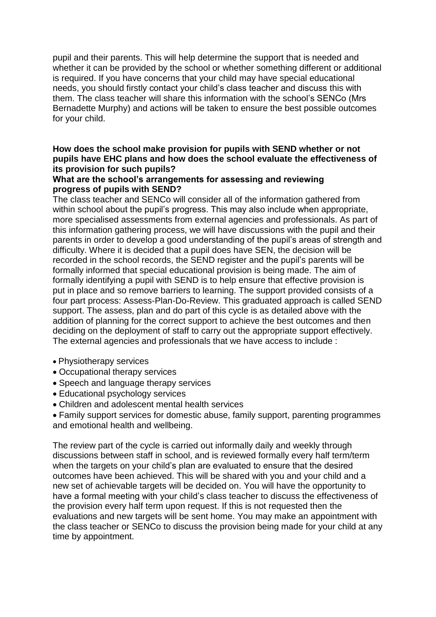pupil and their parents. This will help determine the support that is needed and whether it can be provided by the school or whether something different or additional is required. If you have concerns that your child may have special educational needs, you should firstly contact your child's class teacher and discuss this with them. The class teacher will share this information with the school's SENCo (Mrs Bernadette Murphy) and actions will be taken to ensure the best possible outcomes for your child.

# **How does the school make provision for pupils with SEND whether or not pupils have EHC plans and how does the school evaluate the effectiveness of its provision for such pupils?**

#### **What are the school's arrangements for assessing and reviewing progress of pupils with SEND?**

The class teacher and SENCo will consider all of the information gathered from within school about the pupil's progress. This may also include when appropriate, more specialised assessments from external agencies and professionals. As part of this information gathering process, we will have discussions with the pupil and their parents in order to develop a good understanding of the pupil's areas of strength and difficulty. Where it is decided that a pupil does have SEN, the decision will be recorded in the school records, the SEND register and the pupil's parents will be formally informed that special educational provision is being made. The aim of formally identifying a pupil with SEND is to help ensure that effective provision is put in place and so remove barriers to learning. The support provided consists of a four part process: Assess-Plan-Do-Review. This graduated approach is called SEND support. The assess, plan and do part of this cycle is as detailed above with the addition of planning for the correct support to achieve the best outcomes and then deciding on the deployment of staff to carry out the appropriate support effectively. The external agencies and professionals that we have access to include :

- Physiotherapy services
- Occupational therapy services
- Speech and language therapy services
- Educational psychology services
- Children and adolescent mental health services
- Family support services for domestic abuse, family support, parenting programmes and emotional health and wellbeing.

The review part of the cycle is carried out informally daily and weekly through discussions between staff in school, and is reviewed formally every half term/term when the targets on your child's plan are evaluated to ensure that the desired outcomes have been achieved. This will be shared with you and your child and a new set of achievable targets will be decided on. You will have the opportunity to have a formal meeting with your child's class teacher to discuss the effectiveness of the provision every half term upon request. If this is not requested then the evaluations and new targets will be sent home. You may make an appointment with the class teacher or SENCo to discuss the provision being made for your child at any time by appointment.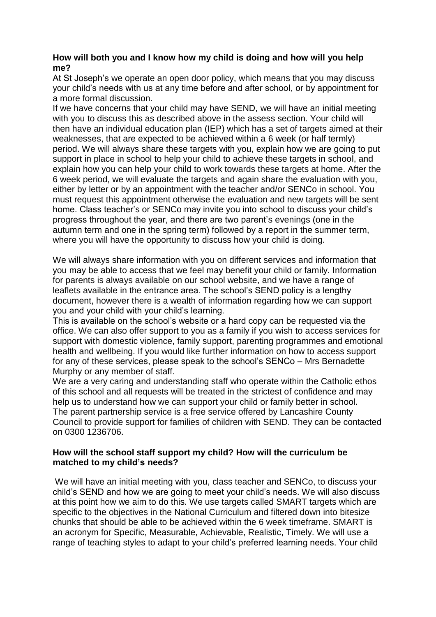## **How will both you and I know how my child is doing and how will you help me?**

At St Joseph's we operate an open door policy, which means that you may discuss your child's needs with us at any time before and after school, or by appointment for a more formal discussion.

If we have concerns that your child may have SEND, we will have an initial meeting with you to discuss this as described above in the assess section. Your child will then have an individual education plan (IEP) which has a set of targets aimed at their weaknesses, that are expected to be achieved within a 6 week (or half termly) period. We will always share these targets with you, explain how we are going to put support in place in school to help your child to achieve these targets in school, and explain how you can help your child to work towards these targets at home. After the 6 week period, we will evaluate the targets and again share the evaluation with you, either by letter or by an appointment with the teacher and/or SENCo in school. You must request this appointment otherwise the evaluation and new targets will be sent home. Class teacher's or SENCo may invite you into school to discuss your child's progress throughout the year, and there are two parent's evenings (one in the autumn term and one in the spring term) followed by a report in the summer term, where you will have the opportunity to discuss how your child is doing.

We will always share information with you on different services and information that you may be able to access that we feel may benefit your child or family. Information for parents is always available on our school website, and we have a range of leaflets available in the entrance area. The school's SEND policy is a lengthy document, however there is a wealth of information regarding how we can support you and your child with your child's learning.

This is available on the school's website or a hard copy can be requested via the office. We can also offer support to you as a family if you wish to access services for support with domestic violence, family support, parenting programmes and emotional health and wellbeing. If you would like further information on how to access support for any of these services, please speak to the school's SENCo – Mrs Bernadette Murphy or any member of staff.

We are a very caring and understanding staff who operate within the Catholic ethos of this school and all requests will be treated in the strictest of confidence and may help us to understand how we can support your child or family better in school. The parent partnership service is a free service offered by Lancashire County Council to provide support for families of children with SEND. They can be contacted on 0300 1236706.

# **How will the school staff support my child? How will the curriculum be matched to my child's needs?**

We will have an initial meeting with you, class teacher and SENCo, to discuss your child's SEND and how we are going to meet your child's needs. We will also discuss at this point how we aim to do this. We use targets called SMART targets which are specific to the objectives in the National Curriculum and filtered down into bitesize chunks that should be able to be achieved within the 6 week timeframe. SMART is an acronym for Specific, Measurable, Achievable, Realistic, Timely. We will use a range of teaching styles to adapt to your child's preferred learning needs. Your child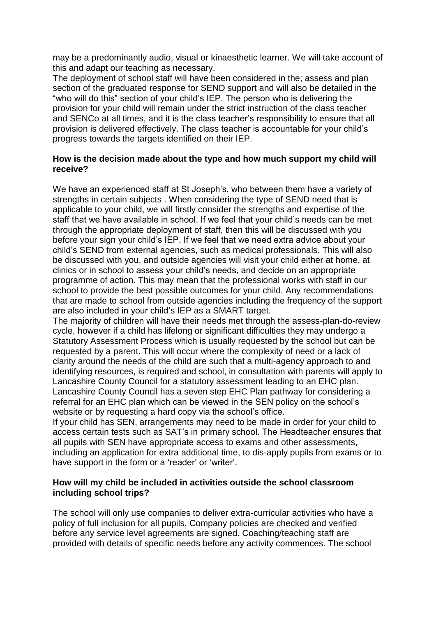may be a predominantly audio, visual or kinaesthetic learner. We will take account of this and adapt our teaching as necessary.

The deployment of school staff will have been considered in the; assess and plan section of the graduated response for SEND support and will also be detailed in the "who will do this" section of your child's IEP. The person who is delivering the provision for your child will remain under the strict instruction of the class teacher and SENCo at all times, and it is the class teacher's responsibility to ensure that all provision is delivered effectively. The class teacher is accountable for your child's progress towards the targets identified on their IEP.

### **How is the decision made about the type and how much support my child will receive?**

We have an experienced staff at St Joseph's, who between them have a variety of strengths in certain subjects . When considering the type of SEND need that is applicable to your child, we will firstly consider the strengths and expertise of the staff that we have available in school. If we feel that your child's needs can be met through the appropriate deployment of staff, then this will be discussed with you before your sign your child's IEP. If we feel that we need extra advice about your child's SEND from external agencies, such as medical professionals. This will also be discussed with you, and outside agencies will visit your child either at home, at clinics or in school to assess your child's needs, and decide on an appropriate programme of action. This may mean that the professional works with staff in our school to provide the best possible outcomes for your child. Any recommendations that are made to school from outside agencies including the frequency of the support are also included in your child's IEP as a SMART target.

The majority of children will have their needs met through the assess-plan-do-review cycle, however if a child has lifelong or significant difficulties they may undergo a Statutory Assessment Process which is usually requested by the school but can be requested by a parent. This will occur where the complexity of need or a lack of clarity around the needs of the child are such that a multi-agency approach to and identifying resources, is required and school, in consultation with parents will apply to Lancashire County Council for a statutory assessment leading to an EHC plan. Lancashire County Council has a seven step EHC Plan pathway for considering a referral for an EHC plan which can be viewed in the SEN policy on the school's website or by requesting a hard copy via the school's office.

If your child has SEN, arrangements may need to be made in order for your child to access certain tests such as SAT's in primary school. The Headteacher ensures that all pupils with SEN have appropriate access to exams and other assessments, including an application for extra additional time, to dis-apply pupils from exams or to have support in the form or a 'reader' or 'writer'.

### **How will my child be included in activities outside the school classroom including school trips?**

The school will only use companies to deliver extra-curricular activities who have a policy of full inclusion for all pupils. Company policies are checked and verified before any service level agreements are signed. Coaching/teaching staff are provided with details of specific needs before any activity commences. The school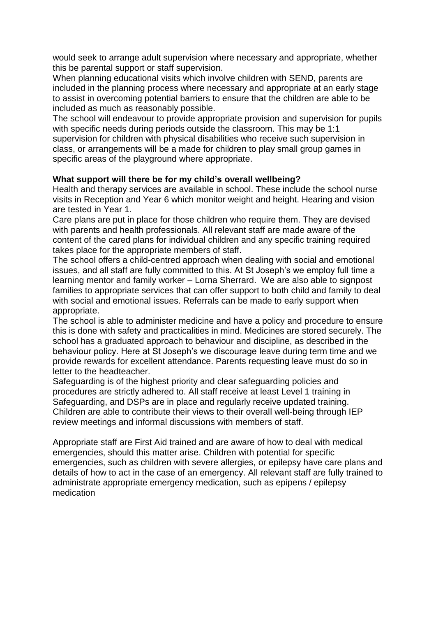would seek to arrange adult supervision where necessary and appropriate, whether this be parental support or staff supervision.

When planning educational visits which involve children with SEND, parents are included in the planning process where necessary and appropriate at an early stage to assist in overcoming potential barriers to ensure that the children are able to be included as much as reasonably possible.

The school will endeavour to provide appropriate provision and supervision for pupils with specific needs during periods outside the classroom. This may be 1:1 supervision for children with physical disabilities who receive such supervision in class, or arrangements will be a made for children to play small group games in specific areas of the playground where appropriate.

### **What support will there be for my child's overall wellbeing?**

Health and therapy services are available in school. These include the school nurse visits in Reception and Year 6 which monitor weight and height. Hearing and vision are tested in Year 1.

Care plans are put in place for those children who require them. They are devised with parents and health professionals. All relevant staff are made aware of the content of the cared plans for individual children and any specific training required takes place for the appropriate members of staff.

The school offers a child-centred approach when dealing with social and emotional issues, and all staff are fully committed to this. At St Joseph's we employ full time a learning mentor and family worker – Lorna Sherrard. We are also able to signpost families to appropriate services that can offer support to both child and family to deal with social and emotional issues. Referrals can be made to early support when appropriate.

The school is able to administer medicine and have a policy and procedure to ensure this is done with safety and practicalities in mind. Medicines are stored securely. The school has a graduated approach to behaviour and discipline, as described in the behaviour policy. Here at St Joseph's we discourage leave during term time and we provide rewards for excellent attendance. Parents requesting leave must do so in letter to the headteacher.

Safeguarding is of the highest priority and clear safeguarding policies and procedures are strictly adhered to. All staff receive at least Level 1 training in Safeguarding, and DSPs are in place and regularly receive updated training. Children are able to contribute their views to their overall well-being through IEP review meetings and informal discussions with members of staff.

Appropriate staff are First Aid trained and are aware of how to deal with medical emergencies, should this matter arise. Children with potential for specific emergencies, such as children with severe allergies, or epilepsy have care plans and details of how to act in the case of an emergency. All relevant staff are fully trained to administrate appropriate emergency medication, such as epipens / epilepsy medication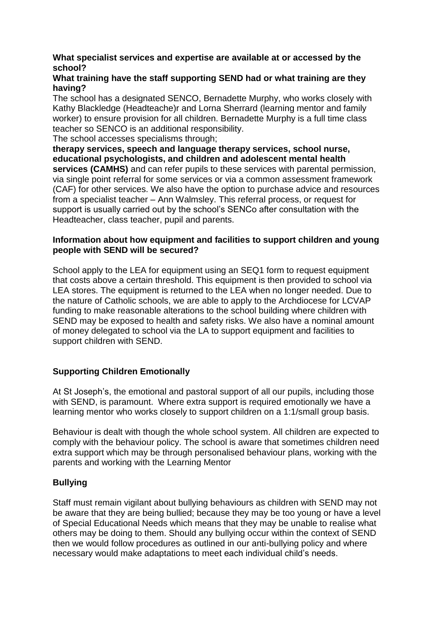# **What specialist services and expertise are available at or accessed by the school?**

### **What training have the staff supporting SEND had or what training are they having?**

The school has a designated SENCO, Bernadette Murphy, who works closely with Kathy Blackledge (Headteache)r and Lorna Sherrard (learning mentor and family worker) to ensure provision for all children. Bernadette Murphy is a full time class teacher so SENCO is an additional responsibility.

The school accesses specialisms through;

**therapy services, speech and language therapy services, school nurse, educational psychologists, and children and adolescent mental health services (CAMHS)** and can refer pupils to these services with parental permission, via single point referral for some services or via a common assessment framework (CAF) for other services. We also have the option to purchase advice and resources from a specialist teacher – Ann Walmsley. This referral process, or request for support is usually carried out by the school's SENCo after consultation with the Headteacher, class teacher, pupil and parents.

# **Information about how equipment and facilities to support children and young people with SEND will be secured?**

School apply to the LEA for equipment using an SEQ1 form to request equipment that costs above a certain threshold. This equipment is then provided to school via LEA stores. The equipment is returned to the LEA when no longer needed. Due to the nature of Catholic schools, we are able to apply to the Archdiocese for LCVAP funding to make reasonable alterations to the school building where children with SEND may be exposed to health and safety risks. We also have a nominal amount of money delegated to school via the LA to support equipment and facilities to support children with SEND.

# **Supporting Children Emotionally**

At St Joseph's, the emotional and pastoral support of all our pupils, including those with SEND, is paramount. Where extra support is required emotionally we have a learning mentor who works closely to support children on a 1:1/small group basis.

Behaviour is dealt with though the whole school system. All children are expected to comply with the behaviour policy. The school is aware that sometimes children need extra support which may be through personalised behaviour plans, working with the parents and working with the Learning Mentor

# **Bullying**

Staff must remain vigilant about bullying behaviours as children with SEND may not be aware that they are being bullied; because they may be too young or have a level of Special Educational Needs which means that they may be unable to realise what others may be doing to them. Should any bullying occur within the context of SEND then we would follow procedures as outlined in our anti-bullying policy and where necessary would make adaptations to meet each individual child's needs.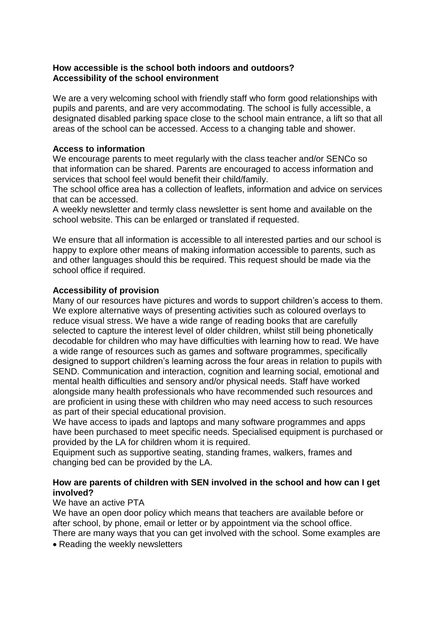#### **How accessible is the school both indoors and outdoors? Accessibility of the school environment**

We are a very welcoming school with friendly staff who form good relationships with pupils and parents, and are very accommodating. The school is fully accessible, a designated disabled parking space close to the school main entrance, a lift so that all areas of the school can be accessed. Access to a changing table and shower.

# **Access to information**

We encourage parents to meet regularly with the class teacher and/or SENCo so that information can be shared. Parents are encouraged to access information and services that school feel would benefit their child/family.

The school office area has a collection of leaflets, information and advice on services that can be accessed.

A weekly newsletter and termly class newsletter is sent home and available on the school website. This can be enlarged or translated if requested.

We ensure that all information is accessible to all interested parties and our school is happy to explore other means of making information accessible to parents, such as and other languages should this be required. This request should be made via the school office if required.

# **Accessibility of provision**

Many of our resources have pictures and words to support children's access to them. We explore alternative ways of presenting activities such as coloured overlays to reduce visual stress. We have a wide range of reading books that are carefully selected to capture the interest level of older children, whilst still being phonetically decodable for children who may have difficulties with learning how to read. We have a wide range of resources such as games and software programmes, specifically designed to support children's learning across the four areas in relation to pupils with SEND. Communication and interaction, cognition and learning social, emotional and mental health difficulties and sensory and/or physical needs. Staff have worked alongside many health professionals who have recommended such resources and are proficient in using these with children who may need access to such resources as part of their special educational provision.

We have access to ipads and laptops and many software programmes and apps have been purchased to meet specific needs. Specialised equipment is purchased or provided by the LA for children whom it is required.

Equipment such as supportive seating, standing frames, walkers, frames and changing bed can be provided by the LA.

# **How are parents of children with SEN involved in the school and how can I get involved?**

### We have an active PTA

We have an open door policy which means that teachers are available before or after school, by phone, email or letter or by appointment via the school office. There are many ways that you can get involved with the school. Some examples are

• Reading the weekly newsletters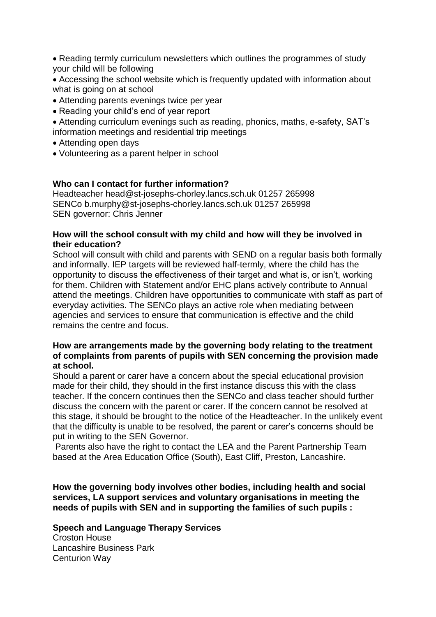Reading termly curriculum newsletters which outlines the programmes of study your child will be following

 Accessing the school website which is frequently updated with information about what is going on at school

- Attending parents evenings twice per year
- Reading your child's end of year report

 Attending curriculum evenings such as reading, phonics, maths, e-safety, SAT's information meetings and residential trip meetings

- Attending open days
- Volunteering as a parent helper in school

#### **Who can I contact for further information?**

Headteacher head@st-josephs-chorley.lancs.sch.uk 01257 265998 SENCo b.murphy@st-josephs-chorley.lancs.sch.uk 01257 265998 SEN governor: Chris Jenner

#### **How will the school consult with my child and how will they be involved in their education?**

School will consult with child and parents with SEND on a regular basis both formally and informally. IEP targets will be reviewed half-termly, where the child has the opportunity to discuss the effectiveness of their target and what is, or isn't, working for them. Children with Statement and/or EHC plans actively contribute to Annual attend the meetings. Children have opportunities to communicate with staff as part of everyday activities. The SENCo plays an active role when mediating between agencies and services to ensure that communication is effective and the child remains the centre and focus.

#### **How are arrangements made by the governing body relating to the treatment of complaints from parents of pupils with SEN concerning the provision made at school.**

Should a parent or carer have a concern about the special educational provision made for their child, they should in the first instance discuss this with the class teacher. If the concern continues then the SENCo and class teacher should further discuss the concern with the parent or carer. If the concern cannot be resolved at this stage, it should be brought to the notice of the Headteacher. In the unlikely event that the difficulty is unable to be resolved, the parent or carer's concerns should be put in writing to the SEN Governor.

Parents also have the right to contact the LEA and the Parent Partnership Team based at the Area Education Office (South), East Cliff, Preston, Lancashire.

**How the governing body involves other bodies, including health and social services, LA support services and voluntary organisations in meeting the needs of pupils with SEN and in supporting the families of such pupils :**

### **Speech and Language Therapy Services**

Croston House Lancashire Business Park Centurion Way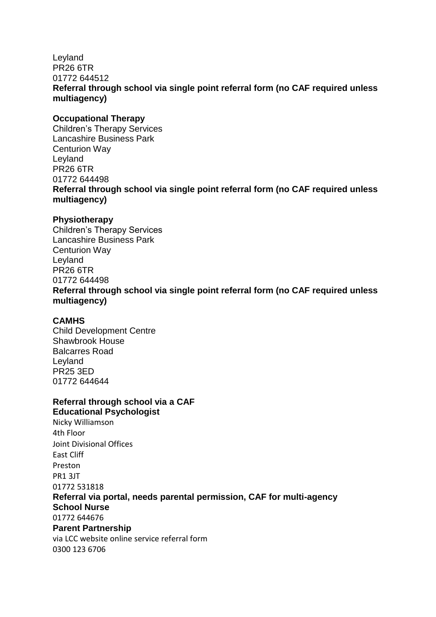# Leyland PR26 6TR 01772 644512 **Referral through school via single point referral form (no CAF required unless multiagency)**

# **Occupational Therapy**

Children's Therapy Services Lancashire Business Park Centurion Way Leyland PR26 6TR 01772 644498 **Referral through school via single point referral form (no CAF required unless multiagency)**

# **Physiotherapy**

Children's Therapy Services Lancashire Business Park Centurion Way Leyland PR26 6TR 01772 644498 **Referral through school via single point referral form (no CAF required unless multiagency)**

# **CAMHS**

Child Development Centre Shawbrook House Balcarres Road Leyland PR25 3ED 01772 644644

#### **Referral through school via a CAF Educational Psychologist**

Nicky Williamson 4th Floor Joint Divisional Offices East Cliff Preston PR1 3JT 01772 531818 **Referral via portal, needs parental permission, CAF for multi-agency School Nurse** 01772 644676 **Parent Partnership** via LCC website online service referral form 0300 123 6706